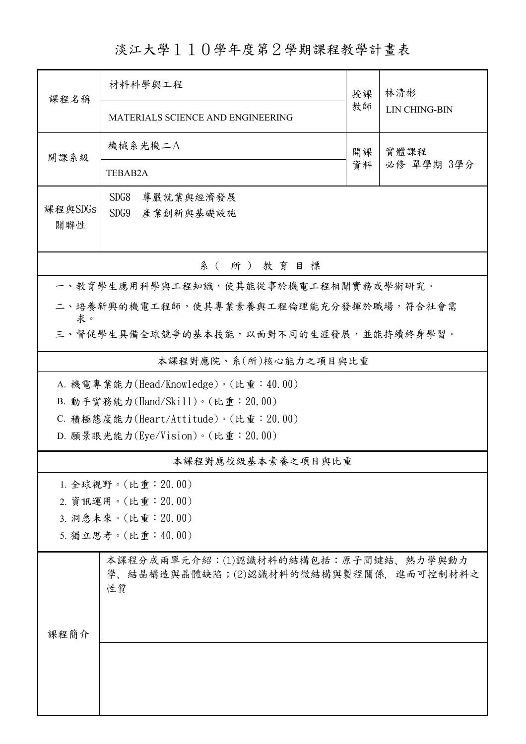淡江大學110學年度第2學期課程教學計畫表

| 課程名稱                                         | 材料科學與工程                                                                             | 授課 |                             |  |  |  |  |  |
|----------------------------------------------|-------------------------------------------------------------------------------------|----|-----------------------------|--|--|--|--|--|
|                                              |                                                                                     |    | 林清彬<br><b>LIN CHING-BIN</b> |  |  |  |  |  |
|                                              | MATERIALS SCIENCE AND ENGINEERING                                                   | 教師 |                             |  |  |  |  |  |
| 開課系級                                         | 機械系光機二A                                                                             | 開課 | 實體課程<br>必修 單學期 3學分          |  |  |  |  |  |
|                                              | TEBAB2A                                                                             | 資料 |                             |  |  |  |  |  |
|                                              | SDG8<br>尊嚴就業與經濟發展                                                                   |    |                             |  |  |  |  |  |
| 課程與SDGs                                      | SDG9<br>產業創新與基礎設施                                                                   |    |                             |  |  |  |  |  |
| 關聯性                                          |                                                                                     |    |                             |  |  |  |  |  |
| 系(所)教育目標                                     |                                                                                     |    |                             |  |  |  |  |  |
| 一、教育學生應用科學與工程知識,使其能從事於機電工程相關實務或學術研究。         |                                                                                     |    |                             |  |  |  |  |  |
| 二、培養新興的機電工程師,使其專業素養與工程倫理能充分發揮於職場,符合社會需       |                                                                                     |    |                             |  |  |  |  |  |
| 求。<br>三、督促學生具備全球競爭的基本技能,以面對不同的生涯發展,並能持續終身學習。 |                                                                                     |    |                             |  |  |  |  |  |
| 本課程對應院、系(所)核心能力之項目與比重                        |                                                                                     |    |                             |  |  |  |  |  |
|                                              | A. 機電專業能力(Head/Knowledge)。(比重:40.00)                                                |    |                             |  |  |  |  |  |
|                                              | B. 動手實務能力(Hand/Skill)。(比重: 20.00)                                                   |    |                             |  |  |  |  |  |
|                                              | C. 積極態度能力(Heart/Attitude)。(比重: 20.00)                                               |    |                             |  |  |  |  |  |
|                                              | D. 願景眼光能力(Eye/Vision)。(比重: 20.00)                                                   |    |                             |  |  |  |  |  |
|                                              | 本課程對應校級基本素養之項目與比重                                                                   |    |                             |  |  |  |  |  |
|                                              | 1. 全球視野。(比重: 20.00)                                                                 |    |                             |  |  |  |  |  |
|                                              | 2. 資訊運用。(比重: 20.00)                                                                 |    |                             |  |  |  |  |  |
|                                              | 3. 洞悉未來。(比重: 20.00)                                                                 |    |                             |  |  |  |  |  |
|                                              | 5. 獨立思考。(比重:40.00)                                                                  |    |                             |  |  |  |  |  |
|                                              | 本課程分成兩單元介紹:(1)認識材料的結構包括:原子間鍵結、熱力學與動力<br>學、結晶構造與晶體缺陷;(2)認識材料的微結構與製程關係,進而可控制材料之<br>性質 |    |                             |  |  |  |  |  |
| 课程简介                                         |                                                                                     |    |                             |  |  |  |  |  |
|                                              |                                                                                     |    |                             |  |  |  |  |  |
|                                              |                                                                                     |    |                             |  |  |  |  |  |
|                                              |                                                                                     |    |                             |  |  |  |  |  |
|                                              |                                                                                     |    |                             |  |  |  |  |  |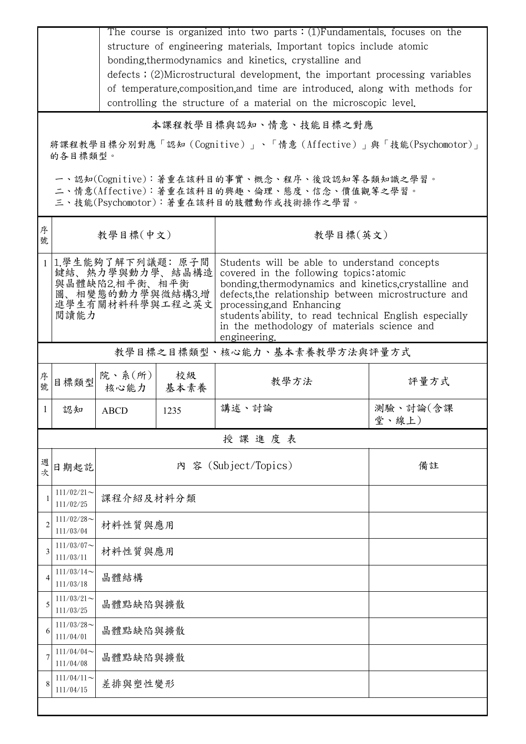|                | The course is organized into two parts $:(1)$ Fundamentals, focuses on the                                                                                                                                                                                                                                                                                                                                                                                            |                |            |                      |                   |  |  |  |  |
|----------------|-----------------------------------------------------------------------------------------------------------------------------------------------------------------------------------------------------------------------------------------------------------------------------------------------------------------------------------------------------------------------------------------------------------------------------------------------------------------------|----------------|------------|----------------------|-------------------|--|--|--|--|
|                | structure of engineering materials. Important topics include atomic                                                                                                                                                                                                                                                                                                                                                                                                   |                |            |                      |                   |  |  |  |  |
|                | bonding, thermodynamics and kinetics, crystalline and<br>defects; (2)Microstructural development, the important processing variables                                                                                                                                                                                                                                                                                                                                  |                |            |                      |                   |  |  |  |  |
|                | of temperature, composition, and time are introduced, along with methods for                                                                                                                                                                                                                                                                                                                                                                                          |                |            |                      |                   |  |  |  |  |
|                | controlling the structure of a material on the microscopic level.                                                                                                                                                                                                                                                                                                                                                                                                     |                |            |                      |                   |  |  |  |  |
|                | 本課程教學目標與認知、情意、技能目標之對應                                                                                                                                                                                                                                                                                                                                                                                                                                                 |                |            |                      |                   |  |  |  |  |
|                | 將課程教學目標分別對應「認知 (Cognitive)」、「情意 (Affective)」與「技能(Psychomotor)」<br>的各目標類型。                                                                                                                                                                                                                                                                                                                                                                                             |                |            |                      |                   |  |  |  |  |
|                | 一、認知(Cognitive):著重在該科目的事實、概念、程序、後設認知等各類知識之學習。<br>二、情意(Affective):著重在該科目的興趣、倫理、態度、信念、價值觀等之學習。<br>三、技能(Psychomotor):著重在該科目的肢體動作或技術操作之學習。                                                                                                                                                                                                                                                                                                                                |                |            |                      |                   |  |  |  |  |
| 序<br>號         | 教學目標(中文)                                                                                                                                                                                                                                                                                                                                                                                                                                                              |                |            | 教學目標(英文)             |                   |  |  |  |  |
|                | 1.學生能夠了解下列議題: 原子間<br>Students will be able to understand concepts<br>鍵結、熱力學與動力學、結晶構造<br>covered in the following topics: atomic<br>與晶體缺陷2.相平衡、相平衡<br>bonding thermodynamics and kinetics crystalline and<br>圖、相變態的動力學與微結構3.增<br>defects, the relationship between microstructure and<br>進學生有關材料科學與工程之英文<br>processing, and Enhancing<br>閲讀能力<br>students'ability, to read technical English especially<br>in the methodology of materials science and<br>engineering. |                |            |                      |                   |  |  |  |  |
|                | 教學目標之目標類型、核心能力、基本素養教學方法與評量方式                                                                                                                                                                                                                                                                                                                                                                                                                                          |                |            |                      |                   |  |  |  |  |
| 序號             | 目標類型                                                                                                                                                                                                                                                                                                                                                                                                                                                                  | 院、系(所)<br>核心能力 | 校級<br>基本素養 | 教學方法                 | 評量方式              |  |  |  |  |
| $\perp$        | 認知                                                                                                                                                                                                                                                                                                                                                                                                                                                                    | <b>ABCD</b>    | 1235       | 講述、討論                | 測驗、討論(含課<br>堂、線上) |  |  |  |  |
|                |                                                                                                                                                                                                                                                                                                                                                                                                                                                                       |                |            | 授課進度表                |                   |  |  |  |  |
| 週<br>次         | 日期起訖                                                                                                                                                                                                                                                                                                                                                                                                                                                                  |                |            | 內 容 (Subject/Topics) | 備註                |  |  |  |  |
|                | $111/02/21$ ~<br>111/02/25                                                                                                                                                                                                                                                                                                                                                                                                                                            | 課程介紹及材料分類      |            |                      |                   |  |  |  |  |
| $\overline{2}$ | $111/02/28$ ~<br>111/03/04                                                                                                                                                                                                                                                                                                                                                                                                                                            | 材料性質與應用        |            |                      |                   |  |  |  |  |
| 3              | $111/03/07$ ~<br>111/03/11                                                                                                                                                                                                                                                                                                                                                                                                                                            | 材料性質與應用        |            |                      |                   |  |  |  |  |
| 4              | $111/03/14$ ~<br>111/03/18                                                                                                                                                                                                                                                                                                                                                                                                                                            | 晶體結構           |            |                      |                   |  |  |  |  |
| 5              | $111/03/21$ ~<br>111/03/25                                                                                                                                                                                                                                                                                                                                                                                                                                            | 晶體點缺陷與擴散       |            |                      |                   |  |  |  |  |
| 6              | $111/03/28$ ~<br>111/04/01                                                                                                                                                                                                                                                                                                                                                                                                                                            | 晶體點缺陷與擴散       |            |                      |                   |  |  |  |  |
| 7              | $111/04/04$ ~<br>111/04/08                                                                                                                                                                                                                                                                                                                                                                                                                                            | 晶體點缺陷與擴散       |            |                      |                   |  |  |  |  |
| 8              | $111/04/11$ ~<br>差排與塑性變形<br>111/04/15                                                                                                                                                                                                                                                                                                                                                                                                                                 |                |            |                      |                   |  |  |  |  |
|                |                                                                                                                                                                                                                                                                                                                                                                                                                                                                       |                |            |                      |                   |  |  |  |  |